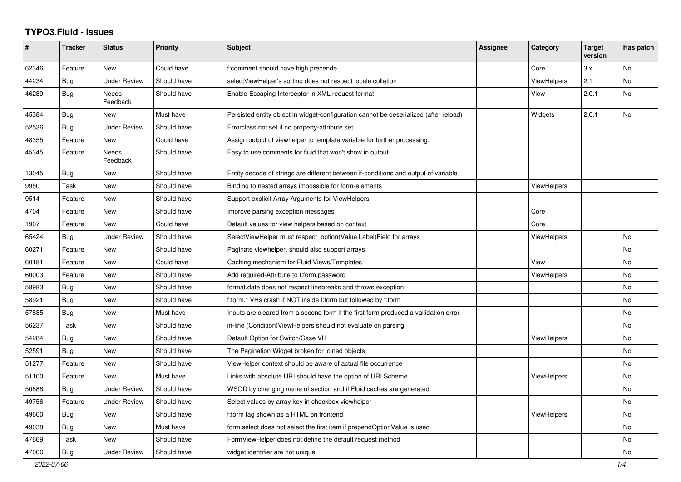## **TYPO3.Fluid - Issues**

| #     | <b>Tracker</b> | <b>Status</b>            | <b>Priority</b> | <b>Subject</b>                                                                        | Assignee | Category           | <b>Target</b><br>version | Has patch |
|-------|----------------|--------------------------|-----------------|---------------------------------------------------------------------------------------|----------|--------------------|--------------------------|-----------|
| 62346 | Feature        | New                      | Could have      | f:comment should have high precende                                                   |          | Core               | 3.x                      | No        |
| 44234 | Bug            | Under Review             | Should have     | selectViewHelper's sorting does not respect locale collation                          |          | <b>ViewHelpers</b> | 2.1                      | No        |
| 46289 | Bug            | <b>Needs</b><br>Feedback | Should have     | Enable Escaping Interceptor in XML request format                                     |          | View               | 2.0.1                    | <b>No</b> |
| 45384 | Bug            | New                      | Must have       | Persisted entity object in widget-configuration cannot be deserialized (after reload) |          | Widgets            | 2.0.1                    | <b>No</b> |
| 52536 | Bug            | <b>Under Review</b>      | Should have     | Errorclass not set if no property-attribute set                                       |          |                    |                          |           |
| 48355 | Feature        | <b>New</b>               | Could have      | Assign output of viewhelper to template variable for further processing.              |          |                    |                          |           |
| 45345 | Feature        | <b>Needs</b><br>Feedback | Should have     | Easy to use comments for fluid that won't show in output                              |          |                    |                          |           |
| 13045 | Bug            | New                      | Should have     | Entity decode of strings are different between if-conditions and output of variable   |          |                    |                          |           |
| 9950  | Task           | <b>New</b>               | Should have     | Binding to nested arrays impossible for form-elements                                 |          | ViewHelpers        |                          |           |
| 9514  | Feature        | New                      | Should have     | Support explicit Array Arguments for ViewHelpers                                      |          |                    |                          |           |
| 4704  | Feature        | New                      | Should have     | Improve parsing exception messages                                                    |          | Core               |                          |           |
| 1907  | Feature        | New                      | Could have      | Default values for view helpers based on context                                      |          | Core               |                          |           |
| 65424 | Bug            | <b>Under Review</b>      | Should have     | SelectViewHelper must respect option(Value Label)Field for arrays                     |          | ViewHelpers        |                          | <b>No</b> |
| 60271 | Feature        | <b>New</b>               | Should have     | Paginate viewhelper, should also support arrays                                       |          |                    |                          | No.       |
| 60181 | Feature        | New                      | Could have      | Caching mechanism for Fluid Views/Templates                                           |          | View               |                          | No        |
| 60003 | Feature        | <b>New</b>               | Should have     | Add required-Attribute to f:form.password                                             |          | ViewHelpers        |                          | <b>No</b> |
| 58983 | Bug            | <b>New</b>               | Should have     | format.date does not respect linebreaks and throws exception                          |          |                    |                          | <b>No</b> |
| 58921 | <b>Bug</b>     | New                      | Should have     | f:form.* VHs crash if NOT inside f:form but followed by f:form                        |          |                    |                          | No        |
| 57885 | <b>Bug</b>     | New                      | Must have       | Inputs are cleared from a second form if the first form produced a vallidation error  |          |                    |                          | No        |
| 56237 | Task           | New                      | Should have     | in-line (Condition) View Helpers should not evaluate on parsing                       |          |                    |                          | No        |
| 54284 | Bug            | New                      | Should have     | Default Option for Switch/Case VH                                                     |          | <b>ViewHelpers</b> |                          | No        |
| 52591 | <b>Bug</b>     | New                      | Should have     | The Pagination Widget broken for joined objects                                       |          |                    |                          | No        |
| 51277 | Feature        | <b>New</b>               | Should have     | ViewHelper context should be aware of actual file occurrence                          |          |                    |                          | No        |
| 51100 | Feature        | <b>New</b>               | Must have       | Links with absolute URI should have the option of URI Scheme                          |          | <b>ViewHelpers</b> |                          | <b>No</b> |
| 50888 | Bug            | <b>Under Review</b>      | Should have     | WSOD by changing name of section and if Fluid caches are generated                    |          |                    |                          | No        |
| 49756 | Feature        | <b>Under Review</b>      | Should have     | Select values by array key in checkbox viewhelper                                     |          |                    |                          | No        |
| 49600 | Bug            | New                      | Should have     | f:form tag shown as a HTML on frontend                                                |          | <b>ViewHelpers</b> |                          | <b>No</b> |
| 49038 | Bug            | <b>New</b>               | Must have       | form.select does not select the first item if prependOptionValue is used              |          |                    |                          | No.       |
| 47669 | Task           | New                      | Should have     | FormViewHelper does not define the default request method                             |          |                    |                          | No        |
| 47006 | Bug            | <b>Under Review</b>      | Should have     | widget identifier are not unique                                                      |          |                    |                          | No        |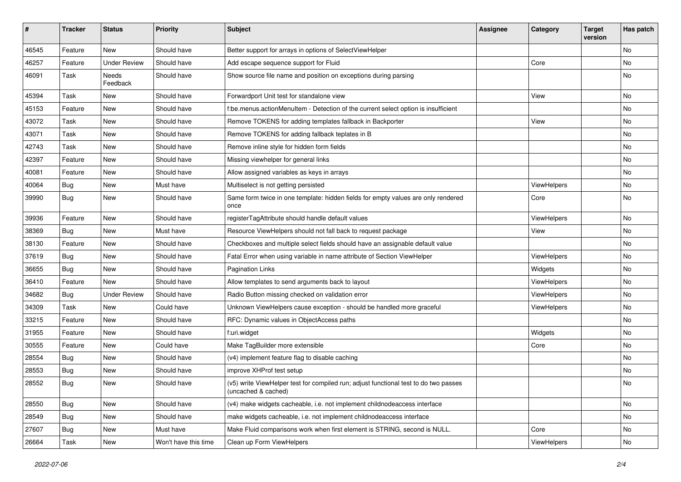| #     | <b>Tracker</b> | <b>Status</b>       | <b>Priority</b>      | Subject                                                                                                     | <b>Assignee</b> | Category    | <b>Target</b><br>version | Has patch |
|-------|----------------|---------------------|----------------------|-------------------------------------------------------------------------------------------------------------|-----------------|-------------|--------------------------|-----------|
| 46545 | Feature        | New                 | Should have          | Better support for arrays in options of SelectViewHelper                                                    |                 |             |                          | <b>No</b> |
| 46257 | Feature        | <b>Under Review</b> | Should have          | Add escape sequence support for Fluid                                                                       |                 | Core        |                          | No        |
| 46091 | Task           | Needs<br>Feedback   | Should have          | Show source file name and position on exceptions during parsing                                             |                 |             |                          | No        |
| 45394 | Task           | New                 | Should have          | Forwardport Unit test for standalone view                                                                   |                 | View        |                          | <b>No</b> |
| 45153 | Feature        | <b>New</b>          | Should have          | f:be.menus.actionMenuItem - Detection of the current select option is insufficient                          |                 |             |                          | No        |
| 43072 | Task           | New                 | Should have          | Remove TOKENS for adding templates fallback in Backporter                                                   |                 | View        |                          | No        |
| 43071 | Task           | New                 | Should have          | Remove TOKENS for adding fallback teplates in B                                                             |                 |             |                          | No        |
| 42743 | Task           | <b>New</b>          | Should have          | Remove inline style for hidden form fields                                                                  |                 |             |                          | No        |
| 42397 | Feature        | New                 | Should have          | Missing viewhelper for general links                                                                        |                 |             |                          | No        |
| 40081 | Feature        | <b>New</b>          | Should have          | Allow assigned variables as keys in arrays                                                                  |                 |             |                          | <b>No</b> |
| 40064 | Bug            | New                 | Must have            | Multiselect is not getting persisted                                                                        |                 | ViewHelpers |                          | No        |
| 39990 | Bug            | New                 | Should have          | Same form twice in one template: hidden fields for empty values are only rendered<br>once                   |                 | Core        |                          | No        |
| 39936 | Feature        | New                 | Should have          | registerTagAttribute should handle default values                                                           |                 | ViewHelpers |                          | No        |
| 38369 | Bug            | New                 | Must have            | Resource ViewHelpers should not fall back to request package                                                |                 | View        |                          | No        |
| 38130 | Feature        | New                 | Should have          | Checkboxes and multiple select fields should have an assignable default value                               |                 |             |                          | No        |
| 37619 | Bug            | New                 | Should have          | Fatal Error when using variable in name attribute of Section ViewHelper                                     |                 | ViewHelpers |                          | No        |
| 36655 | <b>Bug</b>     | <b>New</b>          | Should have          | <b>Pagination Links</b>                                                                                     |                 | Widgets     |                          | <b>No</b> |
| 36410 | Feature        | New                 | Should have          | Allow templates to send arguments back to layout                                                            |                 | ViewHelpers |                          | No        |
| 34682 | Bug            | <b>Under Review</b> | Should have          | Radio Button missing checked on validation error                                                            |                 | ViewHelpers |                          | No        |
| 34309 | Task           | <b>New</b>          | Could have           | Unknown ViewHelpers cause exception - should be handled more graceful                                       |                 | ViewHelpers |                          | No        |
| 33215 | Feature        | New                 | Should have          | RFC: Dynamic values in ObjectAccess paths                                                                   |                 |             |                          | No        |
| 31955 | Feature        | New                 | Should have          | f:uri.widget                                                                                                |                 | Widgets     |                          | <b>No</b> |
| 30555 | Feature        | New                 | Could have           | Make TagBuilder more extensible                                                                             |                 | Core        |                          | No        |
| 28554 | Bug            | New                 | Should have          | (v4) implement feature flag to disable caching                                                              |                 |             |                          | No        |
| 28553 | Bug            | New                 | Should have          | improve XHProf test setup                                                                                   |                 |             |                          | No        |
| 28552 | Bug            | New                 | Should have          | (v5) write ViewHelper test for compiled run; adjust functional test to do two passes<br>(uncached & cached) |                 |             |                          | No        |
| 28550 | <b>Bug</b>     | New                 | Should have          | (v4) make widgets cacheable, i.e. not implement childnodeaccess interface                                   |                 |             |                          | No        |
| 28549 | Bug            | New                 | Should have          | make widgets cacheable, i.e. not implement childnodeaccess interface                                        |                 |             |                          | No        |
| 27607 | Bug            | New                 | Must have            | Make Fluid comparisons work when first element is STRING, second is NULL.                                   |                 | Core        |                          | No        |
| 26664 | Task           | New                 | Won't have this time | Clean up Form ViewHelpers                                                                                   |                 | ViewHelpers |                          | No        |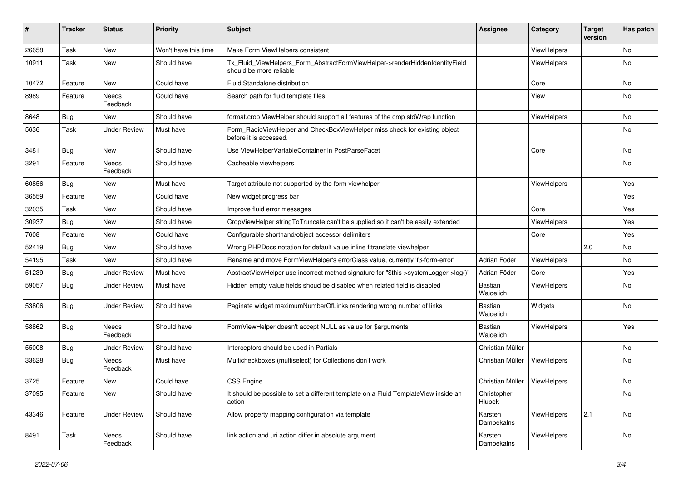| #     | <b>Tracker</b> | <b>Status</b>       | <b>Priority</b>      | Subject                                                                                                | <b>Assignee</b>             | Category    | <b>Target</b><br>version | Has patch |
|-------|----------------|---------------------|----------------------|--------------------------------------------------------------------------------------------------------|-----------------------------|-------------|--------------------------|-----------|
| 26658 | Task           | New                 | Won't have this time | Make Form ViewHelpers consistent                                                                       |                             | ViewHelpers |                          | <b>No</b> |
| 10911 | Task           | New                 | Should have          | Tx_Fluid_ViewHelpers_Form_AbstractFormViewHelper->renderHiddenIdentityField<br>should be more reliable |                             | ViewHelpers |                          | No        |
| 10472 | Feature        | New                 | Could have           | Fluid Standalone distribution                                                                          |                             | Core        |                          | <b>No</b> |
| 8989  | Feature        | Needs<br>Feedback   | Could have           | Search path for fluid template files                                                                   |                             | View        |                          | No        |
| 8648  | Bug            | New                 | Should have          | format.crop ViewHelper should support all features of the crop stdWrap function                        |                             | ViewHelpers |                          | No        |
| 5636  | Task           | <b>Under Review</b> | Must have            | Form_RadioViewHelper and CheckBoxViewHelper miss check for existing object<br>before it is accessed.   |                             |             |                          | No        |
| 3481  | Bug            | New                 | Should have          | Use ViewHelperVariableContainer in PostParseFacet                                                      |                             | Core        |                          | No        |
| 3291  | Feature        | Needs<br>Feedback   | Should have          | Cacheable viewhelpers                                                                                  |                             |             |                          | No        |
| 60856 | Bug            | New                 | Must have            | Target attribute not supported by the form viewhelper                                                  |                             | ViewHelpers |                          | Yes       |
| 36559 | Feature        | New                 | Could have           | New widget progress bar                                                                                |                             |             |                          | Yes       |
| 32035 | Task           | New                 | Should have          | Improve fluid error messages                                                                           |                             | Core        |                          | Yes       |
| 30937 | Bug            | New                 | Should have          | CropViewHelper stringToTruncate can't be supplied so it can't be easily extended                       |                             | ViewHelpers |                          | Yes       |
| 7608  | Feature        | New                 | Could have           | Configurable shorthand/object accessor delimiters                                                      |                             | Core        |                          | Yes       |
| 52419 | Bug            | New                 | Should have          | Wrong PHPDocs notation for default value inline f:translate viewhelper                                 |                             |             | 2.0                      | <b>No</b> |
| 54195 | Task           | New                 | Should have          | Rename and move FormViewHelper's errorClass value, currently 'f3-form-error'                           | Adrian Föder                | ViewHelpers |                          | No        |
| 51239 | Bug            | <b>Under Review</b> | Must have            | AbstractViewHelper use incorrect method signature for "\$this->systemLogger->log()"                    | Adrian Föder                | Core        |                          | Yes       |
| 59057 | Bug            | <b>Under Review</b> | Must have            | Hidden empty value fields shoud be disabled when related field is disabled                             | Bastian<br>Waidelich        | ViewHelpers |                          | No        |
| 53806 | Bug            | <b>Under Review</b> | Should have          | Paginate widget maximumNumberOfLinks rendering wrong number of links                                   | <b>Bastian</b><br>Waidelich | Widgets     |                          | No        |
| 58862 | Bug            | Needs<br>Feedback   | Should have          | FormViewHelper doesn't accept NULL as value for \$arguments                                            | Bastian<br>Waidelich        | ViewHelpers |                          | Yes       |
| 55008 | Bug            | <b>Under Review</b> | Should have          | Interceptors should be used in Partials                                                                | Christian Müller            |             |                          | No        |
| 33628 | Bug            | Needs<br>Feedback   | Must have            | Multicheckboxes (multiselect) for Collections don't work                                               | Christian Müller            | ViewHelpers |                          | No        |
| 3725  | Feature        | New                 | Could have           | <b>CSS Engine</b>                                                                                      | Christian Müller            | ViewHelpers |                          | No        |
| 37095 | Feature        | New                 | Should have          | It should be possible to set a different template on a Fluid TemplateView inside an<br>action          | Christopher<br>Hlubek       |             |                          | No        |
| 43346 | Feature        | <b>Under Review</b> | Should have          | Allow property mapping configuration via template                                                      | Karsten<br>Dambekalns       | ViewHelpers | 2.1                      | No        |
| 8491  | Task           | Needs<br>Feedback   | Should have          | link.action and uri.action differ in absolute argument                                                 | Karsten<br>Dambekalns       | ViewHelpers |                          | No        |